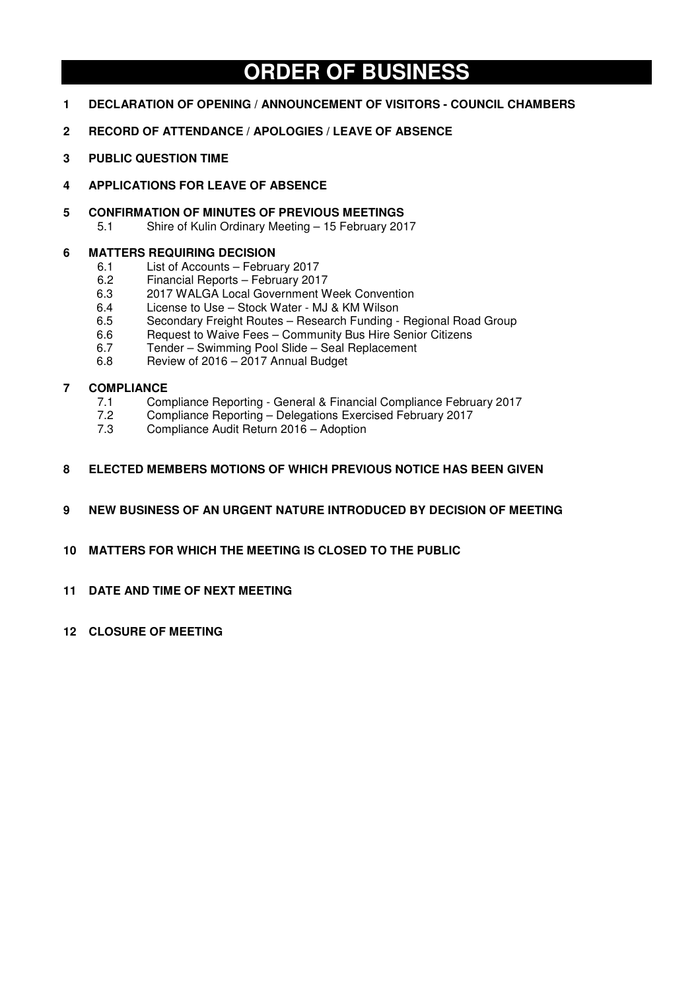# **ORDER OF BUSINESS**

- **1 DECLARATION OF OPENING / ANNOUNCEMENT OF VISITORS COUNCIL CHAMBERS**
- **2 RECORD OF ATTENDANCE / APOLOGIES / LEAVE OF ABSENCE**
- **3 PUBLIC QUESTION TIME**
- **4 APPLICATIONS FOR LEAVE OF ABSENCE**
- **5 CONFIRMATION OF MINUTES OF PREVIOUS MEETINGS**<br>5.1 Shire of Kulin Ordinary Meeting 15 February 201
	- 5.1 Shire of Kulin Ordinary Meeting 15 February 2017

# **6 MATTERS REQUIRING DECISION**

- 6.1 List of Accounts February 2017
- 6.2 Financial Reports February 2017
- 6.3 2017 WALGA Local Government Week Convention
- 6.4 License to Use Stock Water MJ & KM Wilson
- 6.5 Secondary Freight Routes Research Funding Regional Road Group
- 6.6 Request to Waive Fees Community Bus Hire Senior Citizens<br>6.7 Tender Swimming Pool Slide Seal Replacement
- 6.7 Tender Swimming Pool Slide Seal Replacement
- 6.8 Review of 2016 2017 Annual Budget

# **7 COMPLIANCE**

- 7.1 Compliance Reporting General & Financial Compliance February 2017
- 7.2 Compliance Reporting Delegations Exercised February 2017
- 7.3 Compliance Audit Return 2016 Adoption
- **8 ELECTED MEMBERS MOTIONS OF WHICH PREVIOUS NOTICE HAS BEEN GIVEN**
- **9 NEW BUSINESS OF AN URGENT NATURE INTRODUCED BY DECISION OF MEETING**
- **10 MATTERS FOR WHICH THE MEETING IS CLOSED TO THE PUBLIC**
- **11 DATE AND TIME OF NEXT MEETING**
- **12 CLOSURE OF MEETING**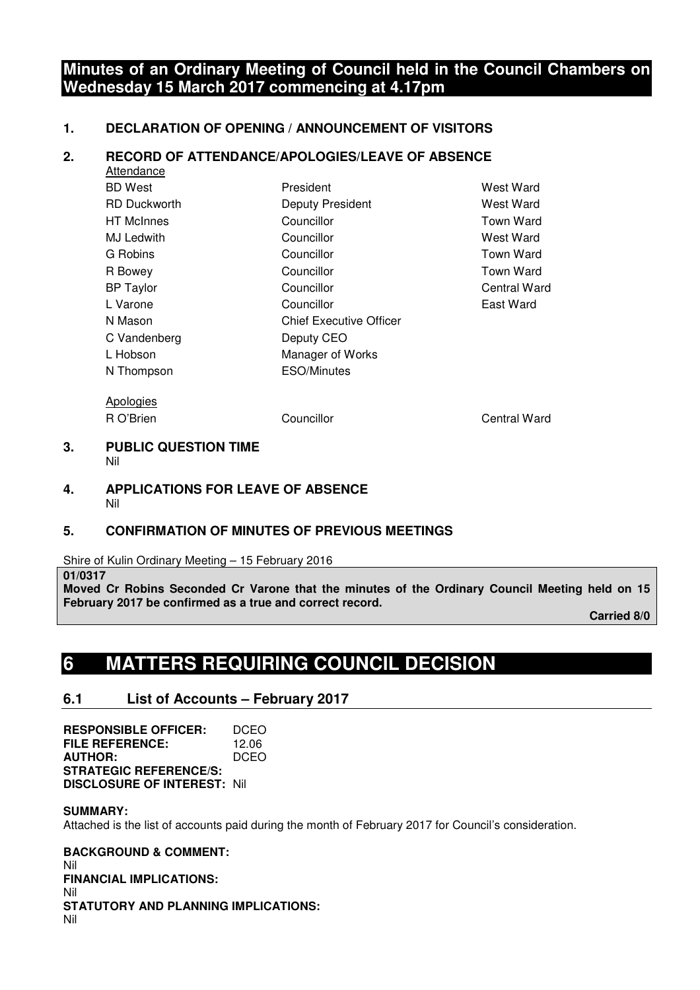# **Minutes of an Ordinary Meeting of Council held in the Council Chambers on Wednesday 15 March 2017 commencing at 4.17pm**

# **1. DECLARATION OF OPENING / ANNOUNCEMENT OF VISITORS**

# **2. RECORD OF ATTENDANCE/APOLOGIES/LEAVE OF ABSENCE**

| Attendance          |                                |                  |
|---------------------|--------------------------------|------------------|
| BD West             | President                      | West Ward        |
| <b>RD Duckworth</b> | Deputy President               | West Ward        |
| <b>HT McInnes</b>   | Councillor                     | <b>Town Ward</b> |
| MJ Ledwith          | Councillor                     | West Ward        |
| G Robins            | Councillor                     | <b>Town Ward</b> |
| R Bowey             | Councillor                     | <b>Town Ward</b> |
| <b>BP Taylor</b>    | Councillor                     | Central Ward     |
| L Varone            | Councillor                     | East Ward        |
| N Mason             | <b>Chief Executive Officer</b> |                  |
| C Vandenberg        | Deputy CEO                     |                  |
| L Hobson            | Manager of Works               |                  |
| N Thompson          | <b>ESO/Minutes</b>             |                  |
|                     |                                |                  |

Apologies

R O'Brien **COUNCILLE COUNCILLE COUNCILLE COUNCILLE COUNCILLE COUNCILLE COUNCILLE COUNCILLE COUNCILLE COUNCILLE** 

# **3. PUBLIC QUESTION TIME**  Nil

# **4. APPLICATIONS FOR LEAVE OF ABSENCE**  Nil

# **5. CONFIRMATION OF MINUTES OF PREVIOUS MEETINGS**

Shire of Kulin Ordinary Meeting – 15 February 2016

# **01/0317**

**Moved Cr Robins Seconded Cr Varone that the minutes of the Ordinary Council Meeting held on 15 February 2017 be confirmed as a true and correct record.** 

 **Carried 8/0** 

# **6 MATTERS REQUIRING COUNCIL DECISION**

# **6.1 List of Accounts – February 2017**

**RESPONSIBLE OFFICER:** DCEO<br>FILE REFERENCE: 1206 **FILE REFERENCE: AUTHOR:** DCEO **STRATEGIC REFERENCE/S: DISCLOSURE OF INTEREST:** Nil

# **SUMMARY:**

Attached is the list of accounts paid during the month of February 2017 for Council's consideration.

**BACKGROUND & COMMENT:**  Nil **FINANCIAL IMPLICATIONS:**  Nil **STATUTORY AND PLANNING IMPLICATIONS:**  Nil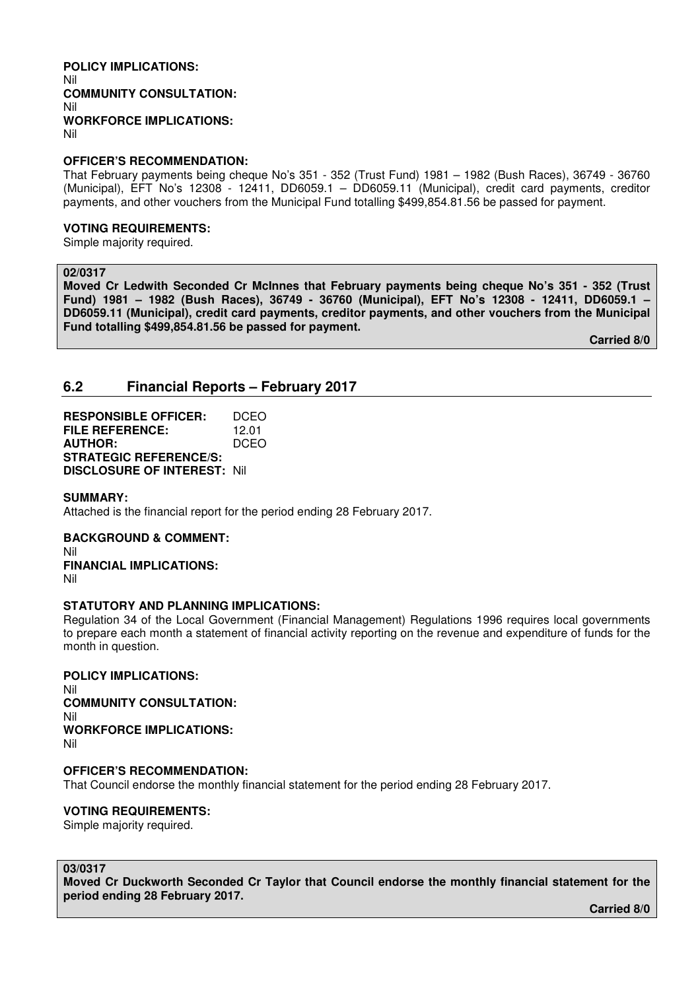#### **POLICY IMPLICATIONS:**  Nil **COMMUNITY CONSULTATION:**  Nil **WORKFORCE IMPLICATIONS:**  Nil

## **OFFICER'S RECOMMENDATION:**

That February payments being cheque No's 351 - 352 (Trust Fund) 1981 – 1982 (Bush Races), 36749 - 36760 (Municipal), EFT No's 12308 - 12411, DD6059.1 – DD6059.11 (Municipal), credit card payments, creditor payments, and other vouchers from the Municipal Fund totalling \$499,854.81.56 be passed for payment.

## **VOTING REQUIREMENTS:**

Simple majority required.

## **02/0317**

**Moved Cr Ledwith Seconded Cr McInnes that February payments being cheque No's 351 - 352 (Trust Fund) 1981 – 1982 (Bush Races), 36749 - 36760 (Municipal), EFT No's 12308 - 12411, DD6059.1 – DD6059.11 (Municipal), credit card payments, creditor payments, and other vouchers from the Municipal Fund totalling \$499,854.81.56 be passed for payment.** 

 **Carried 8/0** 

# **6.2 Financial Reports – February 2017**

**RESPONSIBLE OFFICER:** DCEO **FILE REFERENCE:** 12.01<br>**AUTHOR:** DCEO **AUTHOR: STRATEGIC REFERENCE/S: DISCLOSURE OF INTEREST:** Nil

## **SUMMARY:**

Attached is the financial report for the period ending 28 February 2017.

**BACKGROUND & COMMENT:**  Nil **FINANCIAL IMPLICATIONS:**  Nil

## **STATUTORY AND PLANNING IMPLICATIONS:**

Regulation 34 of the Local Government (Financial Management) Regulations 1996 requires local governments to prepare each month a statement of financial activity reporting on the revenue and expenditure of funds for the month in question.

**POLICY IMPLICATIONS:**  Nil **COMMUNITY CONSULTATION:**  Nil **WORKFORCE IMPLICATIONS:**  Nil

**OFFICER'S RECOMMENDATION:**  That Council endorse the monthly financial statement for the period ending 28 February 2017.

## **VOTING REQUIREMENTS:**

Simple majority required.

# **03/0317**

**Moved Cr Duckworth Seconded Cr Taylor that Council endorse the monthly financial statement for the period ending 28 February 2017.** 

 **Carried 8/0**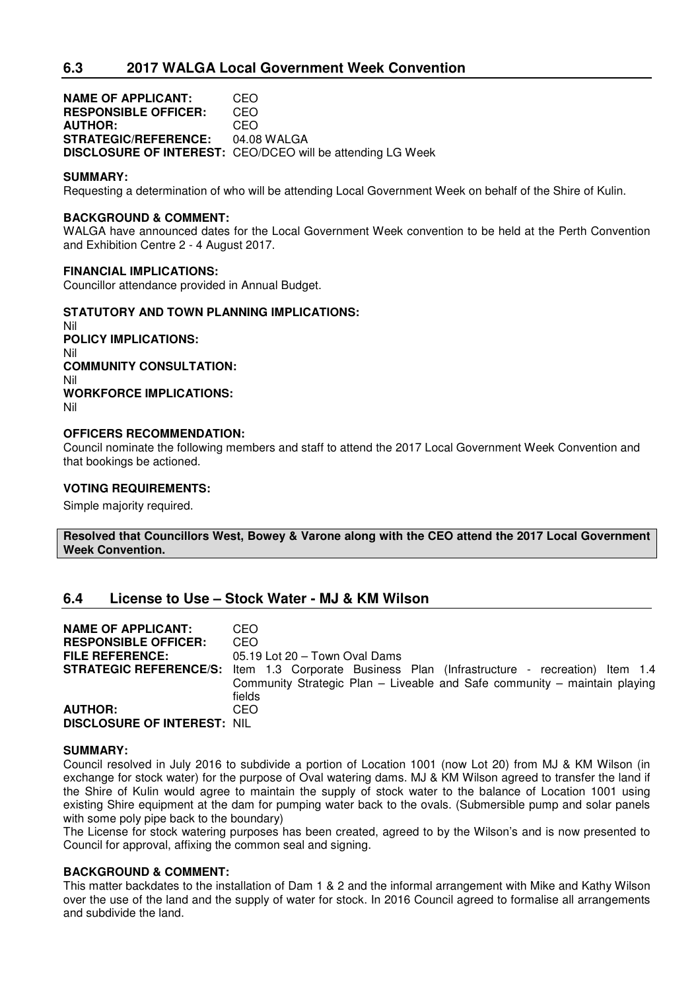**NAME OF APPLICANT:** CEO **RESPONSIBLE OFFICER:** CEO **AUTHOR: STRATEGIC/REFERENCE:** 04.08 WALGA **DISCLOSURE OF INTEREST:** CEO/DCEO will be attending LG Week

## **SUMMARY:**

Requesting a determination of who will be attending Local Government Week on behalf of the Shire of Kulin.

## **BACKGROUND & COMMENT:**

WALGA have announced dates for the Local Government Week convention to be held at the Perth Convention and Exhibition Centre 2 - 4 August 2017.

## **FINANCIAL IMPLICATIONS:**

Councillor attendance provided in Annual Budget.

## **STATUTORY AND TOWN PLANNING IMPLICATIONS:**

Nil **POLICY IMPLICATIONS:** Nil **COMMUNITY CONSULTATION:** Nil **WORKFORCE IMPLICATIONS:** Nil

## **OFFICERS RECOMMENDATION:**

Council nominate the following members and staff to attend the 2017 Local Government Week Convention and that bookings be actioned.

## **VOTING REQUIREMENTS:**

Simple majority required.

**Resolved that Councillors West, Bowey & Varone along with the CEO attend the 2017 Local Government Week Convention.** 

# **6.4 License to Use – Stock Water - MJ & KM Wilson**

| <b>NAME OF APPLICANT:</b>          | CEO.                                                                                                  |
|------------------------------------|-------------------------------------------------------------------------------------------------------|
| <b>RESPONSIBLE OFFICER:</b>        | CEO.                                                                                                  |
| <b>FILE REFERENCE:</b>             | 05.19 Lot 20 - Town Oval Dams                                                                         |
|                                    | <b>STRATEGIC REFERENCE/S:</b> Item 1.3 Corporate Business Plan (Infrastructure - recreation) Item 1.4 |
|                                    | Community Strategic Plan - Liveable and Safe community - maintain playing                             |
|                                    | fields                                                                                                |
| <b>AUTHOR:</b>                     | CEO.                                                                                                  |
| <b>DISCLOSURE OF INTEREST: NIL</b> |                                                                                                       |

## **SUMMARY:**

Council resolved in July 2016 to subdivide a portion of Location 1001 (now Lot 20) from MJ & KM Wilson (in exchange for stock water) for the purpose of Oval watering dams. MJ & KM Wilson agreed to transfer the land if the Shire of Kulin would agree to maintain the supply of stock water to the balance of Location 1001 using existing Shire equipment at the dam for pumping water back to the ovals. (Submersible pump and solar panels with some poly pipe back to the boundary)

The License for stock watering purposes has been created, agreed to by the Wilson's and is now presented to Council for approval, affixing the common seal and signing.

## **BACKGROUND & COMMENT:**

This matter backdates to the installation of Dam 1 & 2 and the informal arrangement with Mike and Kathy Wilson over the use of the land and the supply of water for stock. In 2016 Council agreed to formalise all arrangements and subdivide the land.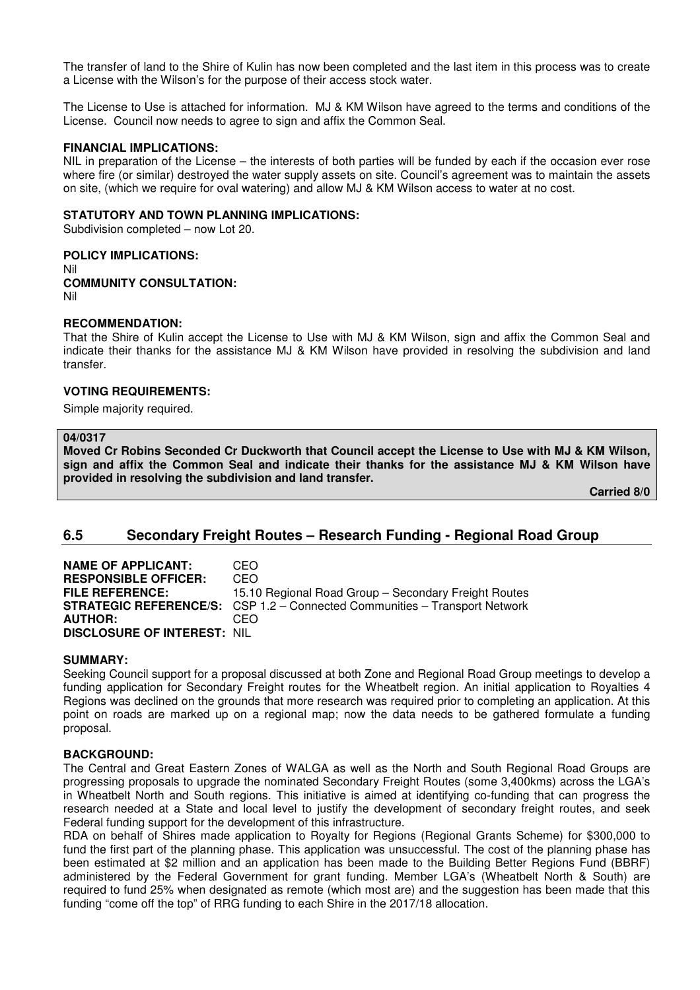The transfer of land to the Shire of Kulin has now been completed and the last item in this process was to create a License with the Wilson's for the purpose of their access stock water.

The License to Use is attached for information. MJ & KM Wilson have agreed to the terms and conditions of the License. Council now needs to agree to sign and affix the Common Seal.

## **FINANCIAL IMPLICATIONS:**

NIL in preparation of the License – the interests of both parties will be funded by each if the occasion ever rose where fire (or similar) destroyed the water supply assets on site. Council's agreement was to maintain the assets on site, (which we require for oval watering) and allow MJ & KM Wilson access to water at no cost.

## **STATUTORY AND TOWN PLANNING IMPLICATIONS:**

Subdivision completed – now Lot 20.

#### **POLICY IMPLICATIONS:** Nil

# **COMMUNITY CONSULTATION:** Nil

# **RECOMMENDATION:**

That the Shire of Kulin accept the License to Use with MJ & KM Wilson, sign and affix the Common Seal and indicate their thanks for the assistance MJ & KM Wilson have provided in resolving the subdivision and land transfer.

## **VOTING REQUIREMENTS:**

Simple majority required.

## **04/0317**

**Moved Cr Robins Seconded Cr Duckworth that Council accept the License to Use with MJ & KM Wilson, sign and affix the Common Seal and indicate their thanks for the assistance MJ & KM Wilson have provided in resolving the subdivision and land transfer.** 

 **Carried 8/0** 

# **6.5 Secondary Freight Routes – Research Funding - Regional Road Group**

**NAME OF APPLICANT: CEO<br>
RESPONSIBLE OFFICER: CEO RESPONSIBLE OFFICER:**<br>FILE REFERENCE: 15.10 Regional Road Group – Secondary Freight Routes **STRATEGIC REFERENCE/S:** CSP 1.2 – Connected Communities – Transport Network **AUTHOR:** CEO **DISCLOSURE OF INTEREST:** NIL

## **SUMMARY:**

Seeking Council support for a proposal discussed at both Zone and Regional Road Group meetings to develop a funding application for Secondary Freight routes for the Wheatbelt region. An initial application to Royalties 4 Regions was declined on the grounds that more research was required prior to completing an application. At this point on roads are marked up on a regional map; now the data needs to be gathered formulate a funding proposal.

## **BACKGROUND:**

The Central and Great Eastern Zones of WALGA as well as the North and South Regional Road Groups are progressing proposals to upgrade the nominated Secondary Freight Routes (some 3,400kms) across the LGA's in Wheatbelt North and South regions. This initiative is aimed at identifying co-funding that can progress the research needed at a State and local level to justify the development of secondary freight routes, and seek Federal funding support for the development of this infrastructure.

RDA on behalf of Shires made application to Royalty for Regions (Regional Grants Scheme) for \$300,000 to fund the first part of the planning phase. This application was unsuccessful. The cost of the planning phase has been estimated at \$2 million and an application has been made to the Building Better Regions Fund (BBRF) administered by the Federal Government for grant funding. Member LGA's (Wheatbelt North & South) are required to fund 25% when designated as remote (which most are) and the suggestion has been made that this funding "come off the top" of RRG funding to each Shire in the 2017/18 allocation.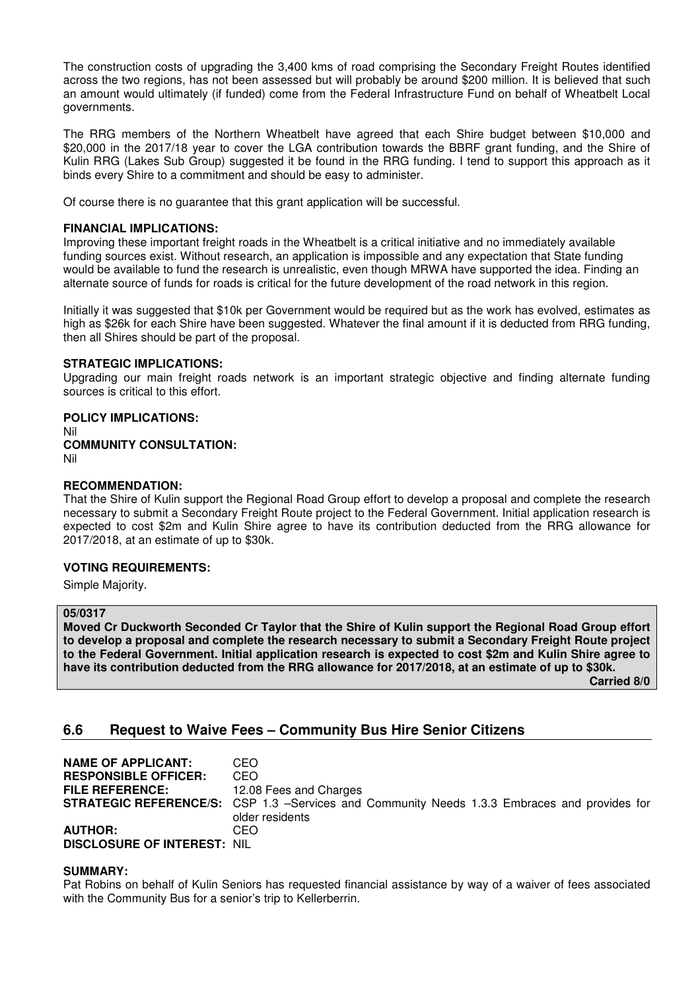The construction costs of upgrading the 3,400 kms of road comprising the Secondary Freight Routes identified across the two regions, has not been assessed but will probably be around \$200 million. It is believed that such an amount would ultimately (if funded) come from the Federal Infrastructure Fund on behalf of Wheatbelt Local governments.

The RRG members of the Northern Wheatbelt have agreed that each Shire budget between \$10,000 and \$20,000 in the 2017/18 year to cover the LGA contribution towards the BBRF grant funding, and the Shire of Kulin RRG (Lakes Sub Group) suggested it be found in the RRG funding. I tend to support this approach as it binds every Shire to a commitment and should be easy to administer.

Of course there is no guarantee that this grant application will be successful.

## **FINANCIAL IMPLICATIONS:**

Improving these important freight roads in the Wheatbelt is a critical initiative and no immediately available funding sources exist. Without research, an application is impossible and any expectation that State funding would be available to fund the research is unrealistic, even though MRWA have supported the idea. Finding an alternate source of funds for roads is critical for the future development of the road network in this region.

Initially it was suggested that \$10k per Government would be required but as the work has evolved, estimates as high as \$26k for each Shire have been suggested. Whatever the final amount if it is deducted from RRG funding, then all Shires should be part of the proposal.

## **STRATEGIC IMPLICATIONS:**

Upgrading our main freight roads network is an important strategic objective and finding alternate funding sources is critical to this effort.

# **POLICY IMPLICATIONS:**

Nil

## **COMMUNITY CONSULTATION:** Nil

## **RECOMMENDATION:**

That the Shire of Kulin support the Regional Road Group effort to develop a proposal and complete the research necessary to submit a Secondary Freight Route project to the Federal Government. Initial application research is expected to cost \$2m and Kulin Shire agree to have its contribution deducted from the RRG allowance for 2017/2018, at an estimate of up to \$30k.

## **VOTING REQUIREMENTS:**

Simple Majority.

# **05/0317**

**Moved Cr Duckworth Seconded Cr Taylor that the Shire of Kulin support the Regional Road Group effort to develop a proposal and complete the research necessary to submit a Secondary Freight Route project to the Federal Government. Initial application research is expected to cost \$2m and Kulin Shire agree to have its contribution deducted from the RRG allowance for 2017/2018, at an estimate of up to \$30k.** 

 **Carried 8/0** 

# **6.6 Request to Waive Fees – Community Bus Hire Senior Citizens**

| <b>NAME OF APPLICANT:</b>          | CEO                                                                                                 |
|------------------------------------|-----------------------------------------------------------------------------------------------------|
| <b>RESPONSIBLE OFFICER:</b>        | CEO                                                                                                 |
| <b>FILE REFERENCE:</b>             | 12.08 Fees and Charges                                                                              |
|                                    | <b>STRATEGIC REFERENCE/S:</b> CSP 1.3 –Services and Community Needs 1.3.3 Embraces and provides for |
|                                    | older residents                                                                                     |
| <b>AUTHOR:</b>                     | CEO                                                                                                 |
| <b>DISCLOSURE OF INTEREST: NIL</b> |                                                                                                     |

## **SUMMARY:**

Pat Robins on behalf of Kulin Seniors has requested financial assistance by way of a waiver of fees associated with the Community Bus for a senior's trip to Kellerberrin.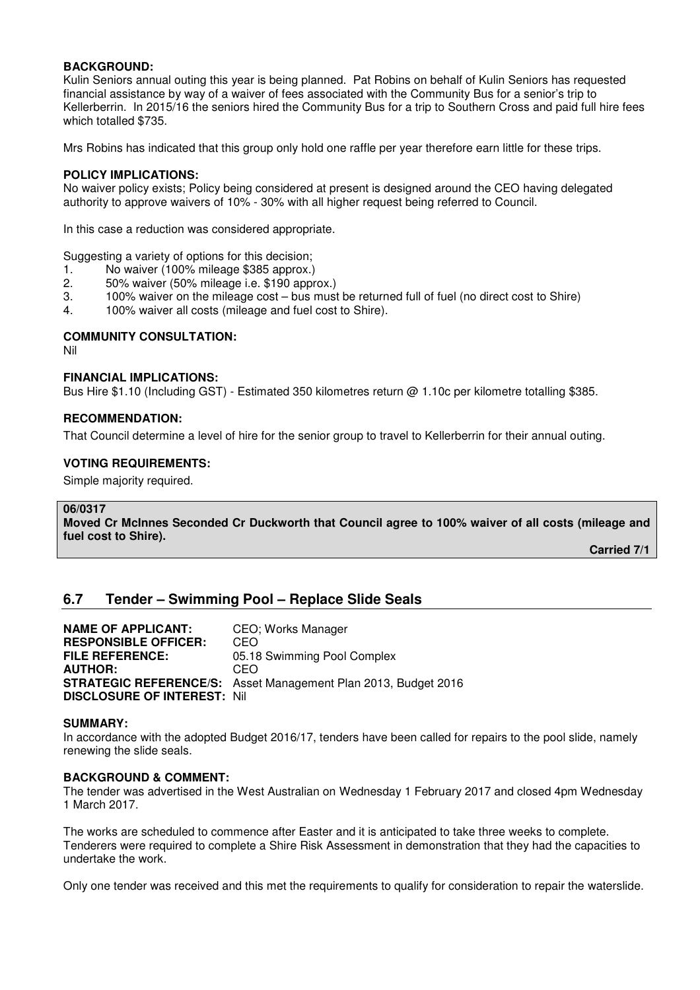## **BACKGROUND:**

Kulin Seniors annual outing this year is being planned. Pat Robins on behalf of Kulin Seniors has requested financial assistance by way of a waiver of fees associated with the Community Bus for a senior's trip to Kellerberrin. In 2015/16 the seniors hired the Community Bus for a trip to Southern Cross and paid full hire fees which totalled \$735.

Mrs Robins has indicated that this group only hold one raffle per year therefore earn little for these trips.

## **POLICY IMPLICATIONS:**

No waiver policy exists; Policy being considered at present is designed around the CEO having delegated authority to approve waivers of 10% - 30% with all higher request being referred to Council.

In this case a reduction was considered appropriate.

Suggesting a variety of options for this decision;

- 1. No waiver (100% mileage \$385 approx.)
- 2. 50% waiver (50% mileage i.e. \$190 approx.)
- 3. 100% waiver on the mileage cost bus must be returned full of fuel (no direct cost to Shire)
- 4. 100% waiver all costs (mileage and fuel cost to Shire).

## **COMMUNITY CONSULTATION:**

Nil

## **FINANCIAL IMPLICATIONS:**

Bus Hire \$1.10 (Including GST) - Estimated 350 kilometres return @ 1.10c per kilometre totalling \$385.

## **RECOMMENDATION:**

That Council determine a level of hire for the senior group to travel to Kellerberrin for their annual outing.

## **VOTING REQUIREMENTS:**

Simple majority required.

## **06/0317**

**Moved Cr McInnes Seconded Cr Duckworth that Council agree to 100% waiver of all costs (mileage and fuel cost to Shire).** 

 **Carried 7/1** 

# **6.7 Tender – Swimming Pool – Replace Slide Seals**

| <b>NAME OF APPLICANT:</b>          | CEO; Works Manager                                                    |
|------------------------------------|-----------------------------------------------------------------------|
| <b>RESPONSIBLE OFFICER:</b>        | CEO                                                                   |
| <b>FILE REFERENCE:</b>             | 05.18 Swimming Pool Complex                                           |
| <b>AUTHOR:</b>                     | CEO                                                                   |
|                                    | <b>STRATEGIC REFERENCE/S:</b> Asset Management Plan 2013, Budget 2016 |
| <b>DISCLOSURE OF INTEREST: Nil</b> |                                                                       |

## **SUMMARY:**

In accordance with the adopted Budget 2016/17, tenders have been called for repairs to the pool slide, namely renewing the slide seals.

# **BACKGROUND & COMMENT:**

The tender was advertised in the West Australian on Wednesday 1 February 2017 and closed 4pm Wednesday 1 March 2017.

The works are scheduled to commence after Easter and it is anticipated to take three weeks to complete. Tenderers were required to complete a Shire Risk Assessment in demonstration that they had the capacities to undertake the work.

Only one tender was received and this met the requirements to qualify for consideration to repair the waterslide.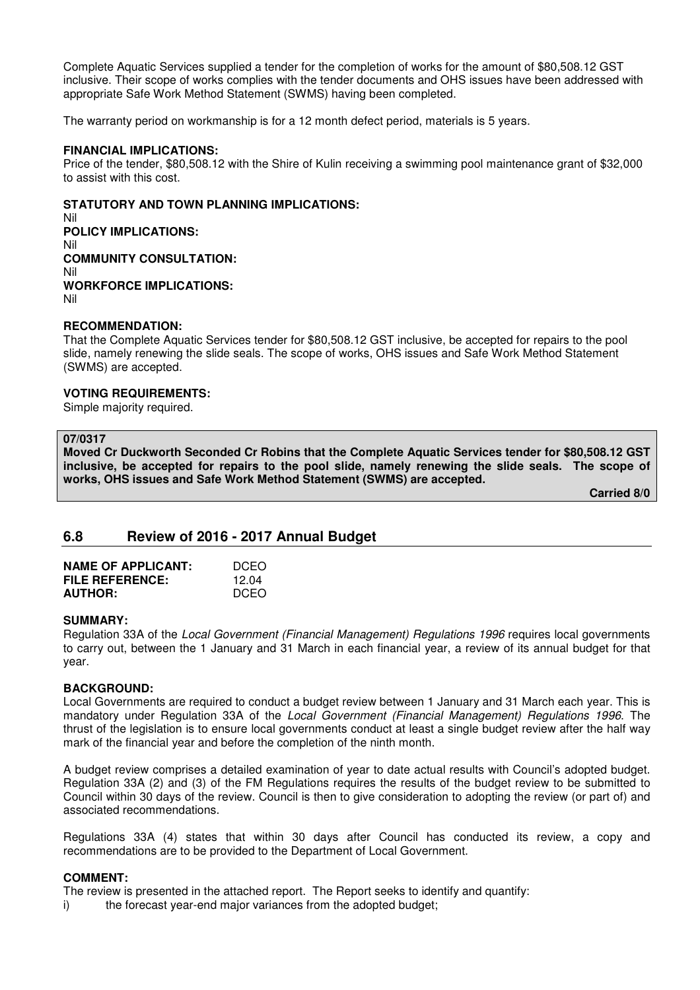Complete Aquatic Services supplied a tender for the completion of works for the amount of \$80,508.12 GST inclusive. Their scope of works complies with the tender documents and OHS issues have been addressed with appropriate Safe Work Method Statement (SWMS) having been completed.

The warranty period on workmanship is for a 12 month defect period, materials is 5 years.

## **FINANCIAL IMPLICATIONS:**

Price of the tender, \$80,508.12 with the Shire of Kulin receiving a swimming pool maintenance grant of \$32,000 to assist with this cost.

#### **STATUTORY AND TOWN PLANNING IMPLICATIONS:**

Nil **POLICY IMPLICATIONS:** Nil **COMMUNITY CONSULTATION:** Nil **WORKFORCE IMPLICATIONS:** Nil

#### **RECOMMENDATION:**

That the Complete Aquatic Services tender for \$80,508.12 GST inclusive, be accepted for repairs to the pool slide, namely renewing the slide seals. The scope of works, OHS issues and Safe Work Method Statement (SWMS) are accepted.

#### **VOTING REQUIREMENTS:**

Simple majority required.

#### **07/0317**

**Moved Cr Duckworth Seconded Cr Robins that the Complete Aquatic Services tender for \$80,508.12 GST inclusive, be accepted for repairs to the pool slide, namely renewing the slide seals. The scope of works, OHS issues and Safe Work Method Statement (SWMS) are accepted.** 

 **Carried 8/0** 

# **6.8 Review of 2016 - 2017 Annual Budget**

| <b>NAME OF APPLICANT:</b> | DCEO        |
|---------------------------|-------------|
| FILE REFERENCE:           | 12 Q4       |
| <b>AUTHOR:</b>            | <b>DCEO</b> |

#### **SUMMARY:**

Regulation 33A of the Local Government (Financial Management) Regulations 1996 requires local governments to carry out, between the 1 January and 31 March in each financial year, a review of its annual budget for that year.

## **BACKGROUND:**

Local Governments are required to conduct a budget review between 1 January and 31 March each year. This is mandatory under Regulation 33A of the Local Government (Financial Management) Regulations 1996. The thrust of the legislation is to ensure local governments conduct at least a single budget review after the half way mark of the financial year and before the completion of the ninth month.

A budget review comprises a detailed examination of year to date actual results with Council's adopted budget. Regulation 33A (2) and (3) of the FM Regulations requires the results of the budget review to be submitted to Council within 30 days of the review. Council is then to give consideration to adopting the review (or part of) and associated recommendations.

Regulations 33A (4) states that within 30 days after Council has conducted its review, a copy and recommendations are to be provided to the Department of Local Government.

## **COMMENT:**

The review is presented in the attached report. The Report seeks to identify and quantify:

i) the forecast year-end major variances from the adopted budget;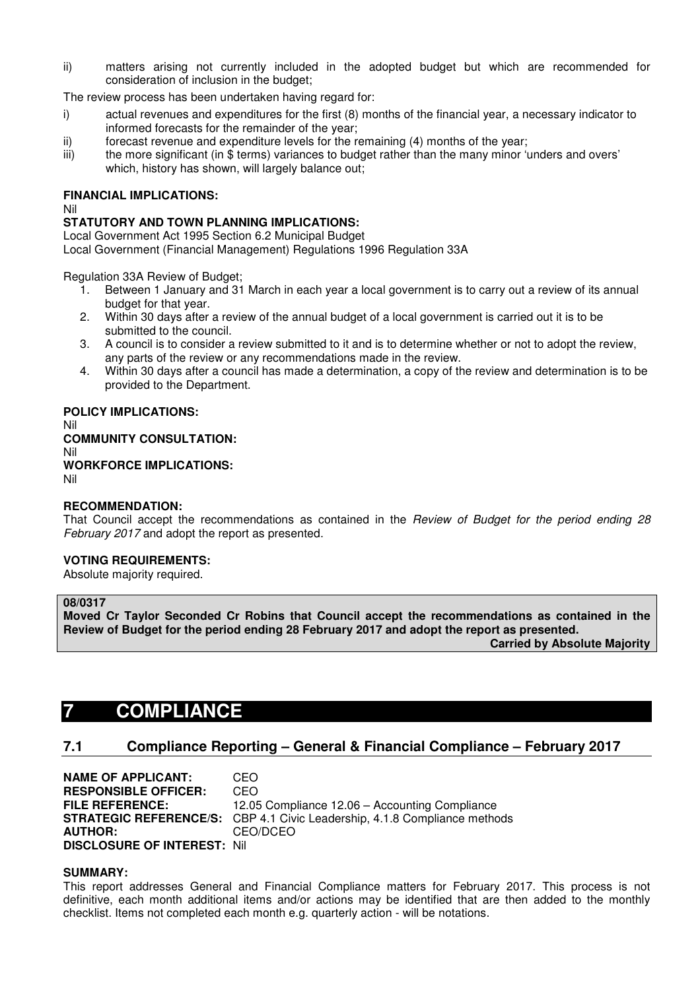ii) matters arising not currently included in the adopted budget but which are recommended for consideration of inclusion in the budget;

The review process has been undertaken having regard for:

- i) actual revenues and expenditures for the first (8) months of the financial year, a necessary indicator to informed forecasts for the remainder of the year;
- ii) forecast revenue and expenditure levels for the remaining (4) months of the year;
- iii) the more significant (in \$ terms) variances to budget rather than the many minor 'unders and overs' which, history has shown, will largely balance out;

# **FINANCIAL IMPLICATIONS:**

Nil

# **STATUTORY AND TOWN PLANNING IMPLICATIONS:**

Local Government Act 1995 Section 6.2 Municipal Budget

Local Government (Financial Management) Regulations 1996 Regulation 33A

Regulation 33A Review of Budget;

- 1. Between 1 January and 31 March in each year a local government is to carry out a review of its annual budget for that year.
- 2. Within 30 days after a review of the annual budget of a local government is carried out it is to be submitted to the council.
- 3. A council is to consider a review submitted to it and is to determine whether or not to adopt the review, any parts of the review or any recommendations made in the review.
- 4. Within 30 days after a council has made a determination, a copy of the review and determination is to be provided to the Department.

# **POLICY IMPLICATIONS:**

Nil **COMMUNITY CONSULTATION:** Nil **WORKFORCE IMPLICATIONS:** Nil

# **RECOMMENDATION:**

That Council accept the recommendations as contained in the Review of Budget for the period ending 28 February 2017 and adopt the report as presented.

# **VOTING REQUIREMENTS:**

Absolute majority required.

# **08/0317**

**Moved Cr Taylor Seconded Cr Robins that Council accept the recommendations as contained in the Review of Budget for the period ending 28 February 2017 and adopt the report as presented.** 

 **Carried by Absolute Majority**

# **7 COMPLIANCE**

# **7.1 Compliance Reporting – General & Financial Compliance – February 2017**

**NAME OF APPLICANT:** CEO **RESPONSIBLE OFFICER:** CEO **FILE REFERENCE:** 12.05 Compliance 12.06 – Accounting Compliance **STRATEGIC REFERENCE/S:** CBP 4.1 Civic Leadership, 4.1.8 Compliance methods<br>**AUTHOR:** CEO/DCEO **AUTHOR:** CEO/DCEO **DISCLOSURE OF INTEREST:** Nil

## **SUMMARY:**

This report addresses General and Financial Compliance matters for February 2017. This process is not definitive, each month additional items and/or actions may be identified that are then added to the monthly checklist. Items not completed each month e.g. quarterly action - will be notations.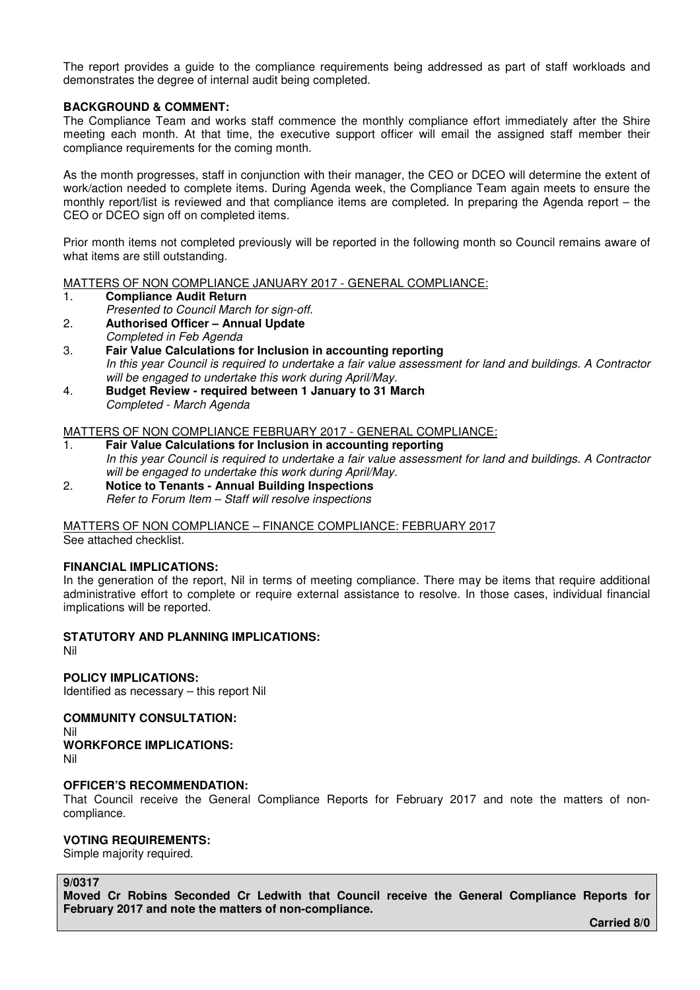The report provides a guide to the compliance requirements being addressed as part of staff workloads and demonstrates the degree of internal audit being completed.

# **BACKGROUND & COMMENT:**

The Compliance Team and works staff commence the monthly compliance effort immediately after the Shire meeting each month. At that time, the executive support officer will email the assigned staff member their compliance requirements for the coming month.

As the month progresses, staff in conjunction with their manager, the CEO or DCEO will determine the extent of work/action needed to complete items. During Agenda week, the Compliance Team again meets to ensure the monthly report/list is reviewed and that compliance items are completed. In preparing the Agenda report – the CEO or DCEO sign off on completed items.

Prior month items not completed previously will be reported in the following month so Council remains aware of what items are still outstanding.

MATTERS OF NON COMPLIANCE JANUARY 2017 - GENERAL COMPLIANCE:

- 1. **Compliance Audit Return**
- Presented to Council March for sign-off.
- 2. **Authorised Officer Annual Update**  Completed in Feb Agenda
- 3. **Fair Value Calculations for Inclusion in accounting reporting**  In this year Council is required to undertake a fair value assessment for land and buildings. A Contractor will be engaged to undertake this work during April/May.
- 4. **Budget Review required between 1 January to 31 March**  Completed - March Agenda

MATTERS OF NON COMPLIANCE FEBRUARY 2017 - GENERAL COMPLIANCE:

- 1. **Fair Value Calculations for Inclusion in accounting reporting**  In this year Council is required to undertake a fair value assessment for land and buildings. A Contractor will be engaged to undertake this work during April/May.
- 2. **Notice to Tenants Annual Building Inspections** Refer to Forum Item – Staff will resolve inspections

MATTERS OF NON COMPLIANCE – FINANCE COMPLIANCE: FEBRUARY 2017 See attached checklist.

# **FINANCIAL IMPLICATIONS:**

In the generation of the report, Nil in terms of meeting compliance. There may be items that require additional administrative effort to complete or require external assistance to resolve. In those cases, individual financial implications will be reported.

# **STATUTORY AND PLANNING IMPLICATIONS:**

Nil

**POLICY IMPLICATIONS:**  Identified as necessary – this report Nil

**COMMUNITY CONSULTATION:** 

- Nil
- **WORKFORCE IMPLICATIONS:**
- Nil

# **OFFICER'S RECOMMENDATION:**

That Council receive the General Compliance Reports for February 2017 and note the matters of noncompliance.

## **VOTING REQUIREMENTS:**

Simple majority required.

# **9/0317**

**Moved Cr Robins Seconded Cr Ledwith that Council receive the General Compliance Reports for February 2017 and note the matters of non-compliance.** 

 **Carried 8/0**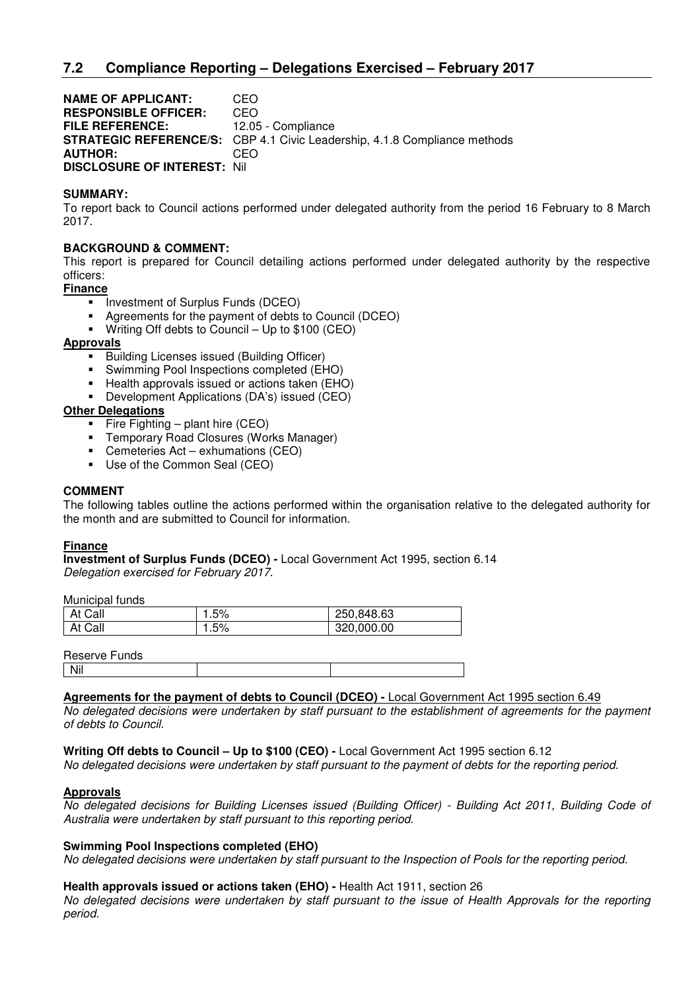**NAME OF APPLICANT:** CEO **RESPONSIBLE OFFICER:** CEO **FILE REFERENCE:** 12.05 - Compliance **STRATEGIC REFERENCE/S:** CBP 4.1 Civic Leadership, 4.1.8 Compliance methods **AUTHOR:** CEO **DISCLOSURE OF INTEREST:** Nil

# **SUMMARY:**

To report back to Council actions performed under delegated authority from the period 16 February to 8 March 2017.

# **BACKGROUND & COMMENT:**

This report is prepared for Council detailing actions performed under delegated authority by the respective officers:

**Finance** 

- **Investment of Surplus Funds (DCEO)**
- Agreements for the payment of debts to Council (DCEO)
- Writing Off debts to Council Up to \$100 (CEO)

## **Approvals**

- **Building Licenses issued (Building Officer)**
- Swimming Pool Inspections completed (EHO)
- Health approvals issued or actions taken (EHO)
- **-** Development Applications (DA's) issued (CEO)

# **Other Delegations**

- Fire Fighting plant hire  $(CEO)$
- Temporary Road Closures (Works Manager)
- Cemeteries Act exhumations (CEO)
- Use of the Common Seal (CEO)

## **COMMENT**

The following tables outline the actions performed within the organisation relative to the delegated authority for the month and are submitted to Council for information.

## **Finance**

**Investment of Surplus Funds (DCEO) -** Local Government Act 1995, section 6.14 Delegation exercised for February 2017.

Municipal funds

| At Call | 1.5% | 250,848.63 |
|---------|------|------------|
| At Call | 1.5% | 320,000.00 |

Reserve Funds

| Nil |  |  |
|-----|--|--|

# **Agreements for the payment of debts to Council (DCEO) -** Local Government Act 1995 section 6.49

No delegated decisions were undertaken by staff pursuant to the establishment of agreements for the payment of debts to Council.

## **Writing Off debts to Council – Up to \$100 (CEO) -** Local Government Act 1995 section 6.12

No delegated decisions were undertaken by staff pursuant to the payment of debts for the reporting period.

## **Approvals**

No delegated decisions for Building Licenses issued (Building Officer) - Building Act 2011, Building Code of Australia were undertaken by staff pursuant to this reporting period.

## **Swimming Pool Inspections completed (EHO)**

No delegated decisions were undertaken by staff pursuant to the Inspection of Pools for the reporting period.

## **Health approvals issued or actions taken (EHO) -** Health Act 1911, section 26

No delegated decisions were undertaken by staff pursuant to the issue of Health Approvals for the reporting period.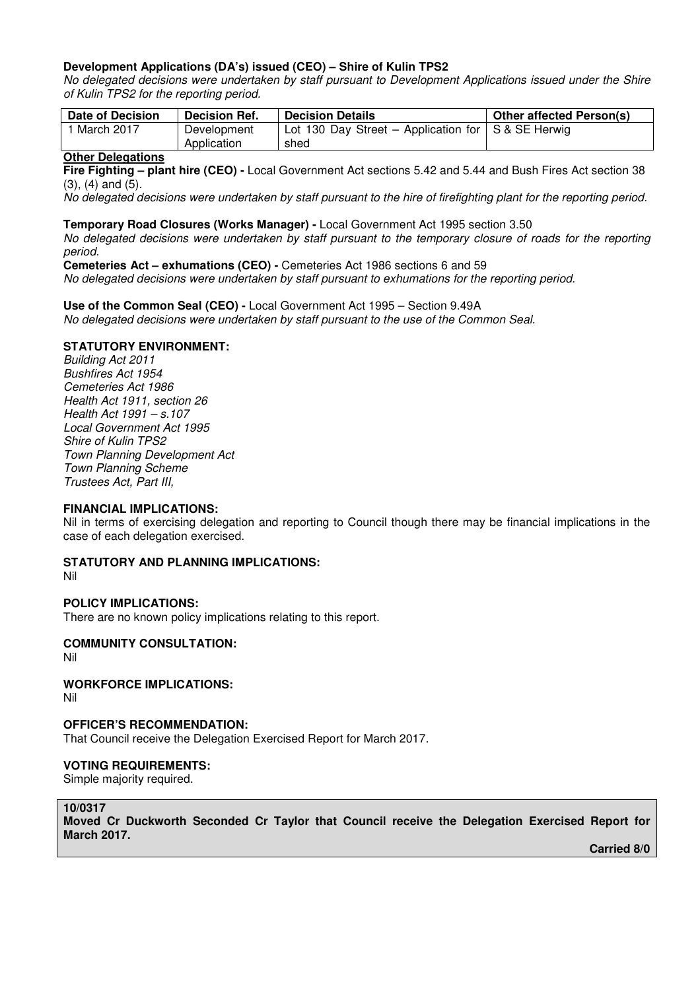# **Development Applications (DA's) issued (CEO) – Shire of Kulin TPS2**

No delegated decisions were undertaken by staff pursuant to Development Applications issued under the Shire of Kulin TPS2 for the reporting period.

| <b>Date of Decision</b> | <b>Decision Ref.</b>       | <b>Decision Details</b>                                            | <b>Other affected Person(s)</b> |
|-------------------------|----------------------------|--------------------------------------------------------------------|---------------------------------|
| <sup>1</sup> March 2017 | Development<br>Application | Lot 130 Day Street – Application for $\vert$ S & SE Herwig<br>shed |                                 |

## **Other Delegations**

**Fire Fighting – plant hire (CEO) -** Local Government Act sections 5.42 and 5.44 and Bush Fires Act section 38 (3), (4) and (5).

No delegated decisions were undertaken by staff pursuant to the hire of firefighting plant for the reporting period.

## **Temporary Road Closures (Works Manager) -** Local Government Act 1995 section 3.50

No delegated decisions were undertaken by staff pursuant to the temporary closure of roads for the reporting period.

**Cemeteries Act – exhumations (CEO) -** Cemeteries Act 1986 sections 6 and 59

No delegated decisions were undertaken by staff pursuant to exhumations for the reporting period.

**Use of the Common Seal (CEO) -** Local Government Act 1995 – Section 9.49A No delegated decisions were undertaken by staff pursuant to the use of the Common Seal.

# **STATUTORY ENVIRONMENT:**

Building Act 2011 Bushfires Act 1954 Cemeteries Act 1986 Health Act 1911, section 26 Health Act 1991 – s.107 Local Government Act 1995 Shire of Kulin TPS2 Town Planning Development Act Town Planning Scheme Trustees Act, Part III,

# **FINANCIAL IMPLICATIONS:**

Nil in terms of exercising delegation and reporting to Council though there may be financial implications in the case of each delegation exercised.

# **STATUTORY AND PLANNING IMPLICATIONS:**

Nil

# **POLICY IMPLICATIONS:**

There are no known policy implications relating to this report.

# **COMMUNITY CONSULTATION:**

Nil

# **WORKFORCE IMPLICATIONS:**

Nil

## **OFFICER'S RECOMMENDATION:**

That Council receive the Delegation Exercised Report for March 2017.

# **VOTING REQUIREMENTS:**

Simple majority required.

# **10/0317**

**Moved Cr Duckworth Seconded Cr Taylor that Council receive the Delegation Exercised Report for March 2017.** 

 **Carried 8/0**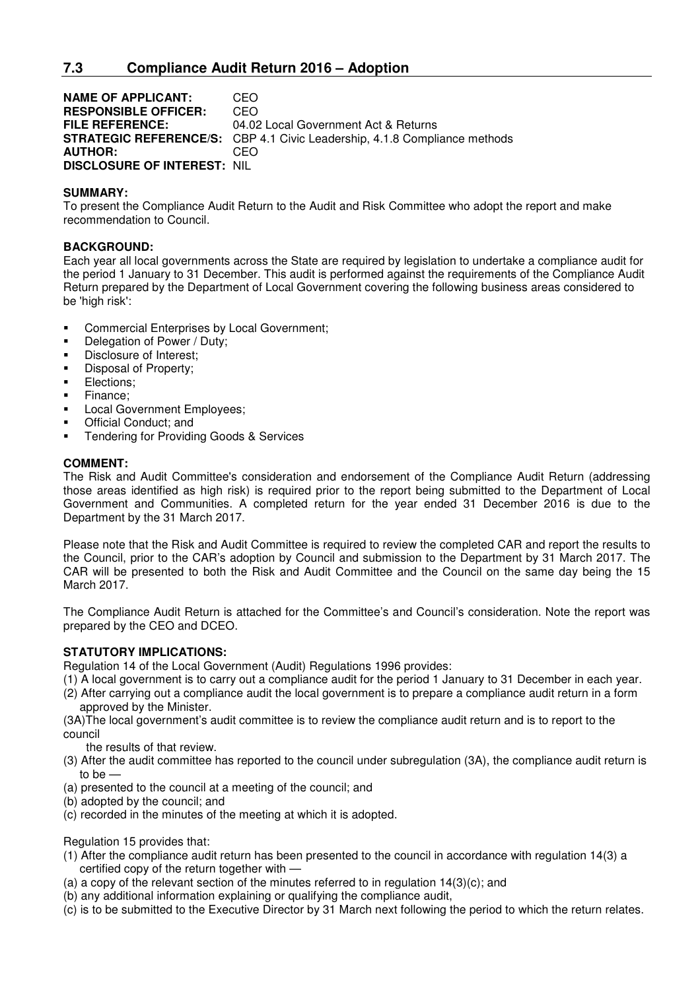**NAME OF APPLICANT:** CEO **RESPONSIBLE OFFICER:** CEO **FILE REFERENCE:** 04.02 Local Government Act & Returns **STRATEGIC REFERENCE/S:** CBP 4.1 Civic Leadership, 4.1.8 Compliance methods **AUTHOR:** CEO **DISCLOSURE OF INTEREST:** NIL

# **SUMMARY:**

To present the Compliance Audit Return to the Audit and Risk Committee who adopt the report and make recommendation to Council.

# **BACKGROUND:**

Each year all local governments across the State are required by legislation to undertake a compliance audit for the period 1 January to 31 December. This audit is performed against the requirements of the Compliance Audit Return prepared by the Department of Local Government covering the following business areas considered to be 'high risk':

- **EXECOMMERGIER COMMERGIES EXECUTE:** Commercial Enterprises by Local Government;
- Delegation of Power / Duty;
- **Disclosure of Interest:**
- **Disposal of Property;**
- **Elections**;
- Finance;
- Local Government Employees;
- Official Conduct; and
- Tendering for Providing Goods & Services

# **COMMENT:**

The Risk and Audit Committee's consideration and endorsement of the Compliance Audit Return (addressing those areas identified as high risk) is required prior to the report being submitted to the Department of Local Government and Communities. A completed return for the year ended 31 December 2016 is due to the Department by the 31 March 2017.

Please note that the Risk and Audit Committee is required to review the completed CAR and report the results to the Council, prior to the CAR's adoption by Council and submission to the Department by 31 March 2017. The CAR will be presented to both the Risk and Audit Committee and the Council on the same day being the 15 March 2017.

The Compliance Audit Return is attached for the Committee's and Council's consideration. Note the report was prepared by the CEO and DCEO.

# **STATUTORY IMPLICATIONS:**

Regulation 14 of the Local Government (Audit) Regulations 1996 provides:

- (1) A local government is to carry out a compliance audit for the period 1 January to 31 December in each year.
- (2) After carrying out a compliance audit the local government is to prepare a compliance audit return in a form approved by the Minister.

(3A)The local government's audit committee is to review the compliance audit return and is to report to the council

the results of that review.

- (3) After the audit committee has reported to the council under subregulation (3A), the compliance audit return is to be —
- (a) presented to the council at a meeting of the council; and
- (b) adopted by the council; and
- (c) recorded in the minutes of the meeting at which it is adopted.

Regulation 15 provides that:

- (1) After the compliance audit return has been presented to the council in accordance with regulation 14(3) a certified copy of the return together with —
- (a) a copy of the relevant section of the minutes referred to in regulation  $14(3)(c)$ ; and
- (b) any additional information explaining or qualifying the compliance audit,
- (c) is to be submitted to the Executive Director by 31 March next following the period to which the return relates.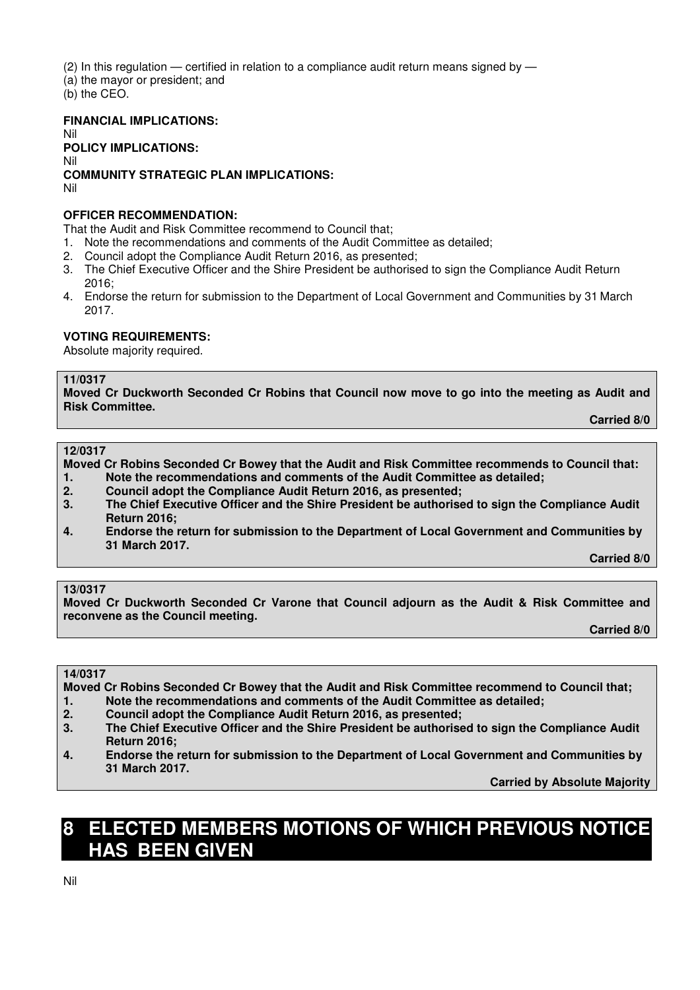(2) In this regulation — certified in relation to a compliance audit return means signed by —

(a) the mayor or president; and

(b) the CEO.

**FINANCIAL IMPLICATIONS:** 

Nil **POLICY IMPLICATIONS:**  Nil

**COMMUNITY STRATEGIC PLAN IMPLICATIONS:**  Nil

# **OFFICER RECOMMENDATION:**

That the Audit and Risk Committee recommend to Council that;

- 1. Note the recommendations and comments of the Audit Committee as detailed;
- 2. Council adopt the Compliance Audit Return 2016, as presented;
- 3. The Chief Executive Officer and the Shire President be authorised to sign the Compliance Audit Return 2016;
- 4. Endorse the return for submission to the Department of Local Government and Communities by 31 March 2017.

# **VOTING REQUIREMENTS:**

Absolute majority required.

## **11/0317**

**Moved Cr Duckworth Seconded Cr Robins that Council now move to go into the meeting as Audit and Risk Committee.** 

 **Carried 8/0** 

## **12/0317**

**Moved Cr Robins Seconded Cr Bowey that the Audit and Risk Committee recommends to Council that:** 

- **1. Note the recommendations and comments of the Audit Committee as detailed;**
- **2. Council adopt the Compliance Audit Return 2016, as presented;**
- **3. The Chief Executive Officer and the Shire President be authorised to sign the Compliance Audit Return 2016;**
- **4. Endorse the return for submission to the Department of Local Government and Communities by 31 March 2017.**

 **Carried 8/0** 

# **13/0317**

**Moved Cr Duckworth Seconded Cr Varone that Council adjourn as the Audit & Risk Committee and reconvene as the Council meeting.** 

 **Carried 8/0** 

## **14/0317**

**Moved Cr Robins Seconded Cr Bowey that the Audit and Risk Committee recommend to Council that; 1. Note the recommendations and comments of the Audit Committee as detailed;** 

- 
- **2. Council adopt the Compliance Audit Return 2016, as presented; 3. The Chief Executive Officer and the Shire President be authorised to sign the Compliance Audit Return 2016;**
- **4. Endorse the return for submission to the Department of Local Government and Communities by 31 March 2017.**

 **Carried by Absolute Majority** 

# **8 ELECTED MEMBERS MOTIONS OF WHICH PREVIOUS NOTICE HAS BEEN GIVEN**